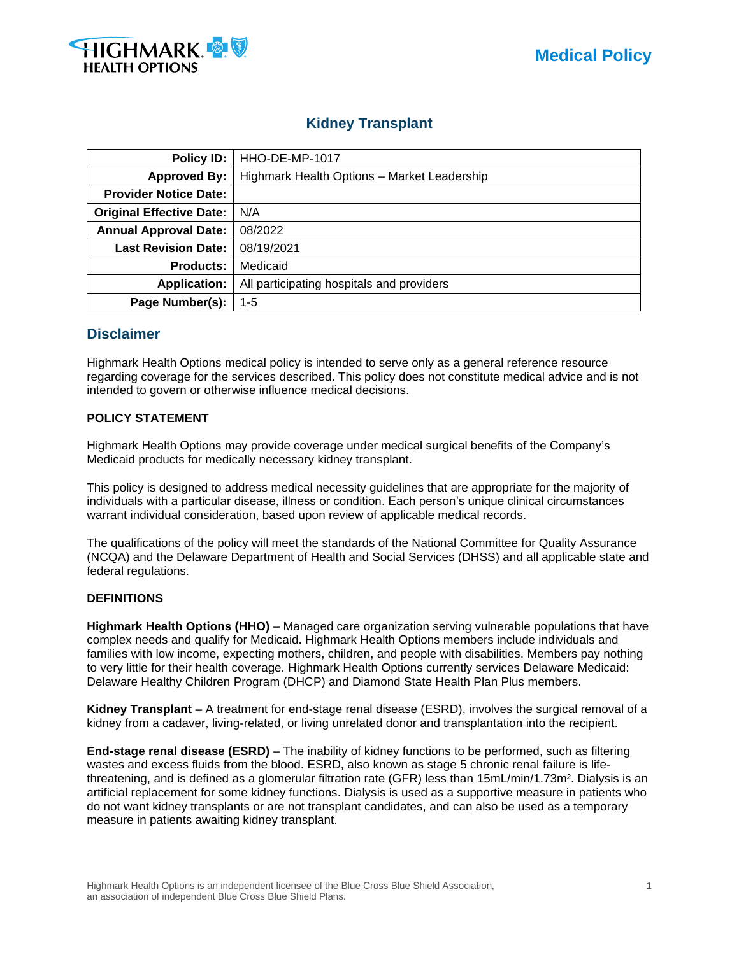

# **Kidney Transplant**

| Policy ID:                      | HHO-DE-MP-1017                              |  |  |
|---------------------------------|---------------------------------------------|--|--|
| <b>Approved By:</b>             | Highmark Health Options - Market Leadership |  |  |
| <b>Provider Notice Date:</b>    |                                             |  |  |
| <b>Original Effective Date:</b> | N/A                                         |  |  |
| <b>Annual Approval Date:</b>    | 08/2022                                     |  |  |
| <b>Last Revision Date:</b>      | 08/19/2021                                  |  |  |
| <b>Products:</b>                | Medicaid                                    |  |  |
| <b>Application:</b>             | All participating hospitals and providers   |  |  |
| Page Number(s):                 | $1 - 5$                                     |  |  |

# **Disclaimer**

Highmark Health Options medical policy is intended to serve only as a general reference resource regarding coverage for the services described. This policy does not constitute medical advice and is not intended to govern or otherwise influence medical decisions.

### **POLICY STATEMENT**

Highmark Health Options may provide coverage under medical surgical benefits of the Company's Medicaid products for medically necessary kidney transplant.

This policy is designed to address medical necessity guidelines that are appropriate for the majority of individuals with a particular disease, illness or condition. Each person's unique clinical circumstances warrant individual consideration, based upon review of applicable medical records.

The qualifications of the policy will meet the standards of the National Committee for Quality Assurance (NCQA) and the Delaware Department of Health and Social Services (DHSS) and all applicable state and federal regulations.

#### **DEFINITIONS**

**Highmark Health Options (HHO)** – Managed care organization serving vulnerable populations that have complex needs and qualify for Medicaid. Highmark Health Options members include individuals and families with low income, expecting mothers, children, and people with disabilities. Members pay nothing to very little for their health coverage. Highmark Health Options currently services Delaware Medicaid: Delaware Healthy Children Program (DHCP) and Diamond State Health Plan Plus members.

**Kidney Transplant** – A treatment for end-stage renal disease (ESRD), involves the surgical removal of a kidney from a cadaver, living-related, or living unrelated donor and transplantation into the recipient.

**End-stage renal disease (ESRD)** – The inability of kidney functions to be performed, such as filtering wastes and excess fluids from the blood. ESRD, also known as stage 5 chronic renal failure is lifethreatening, and is defined as a glomerular filtration rate (GFR) less than 15mL/min/1.73m². Dialysis is an artificial replacement for some kidney functions. Dialysis is used as a supportive measure in patients who do not want kidney transplants or are not transplant candidates, and can also be used as a temporary measure in patients awaiting kidney transplant.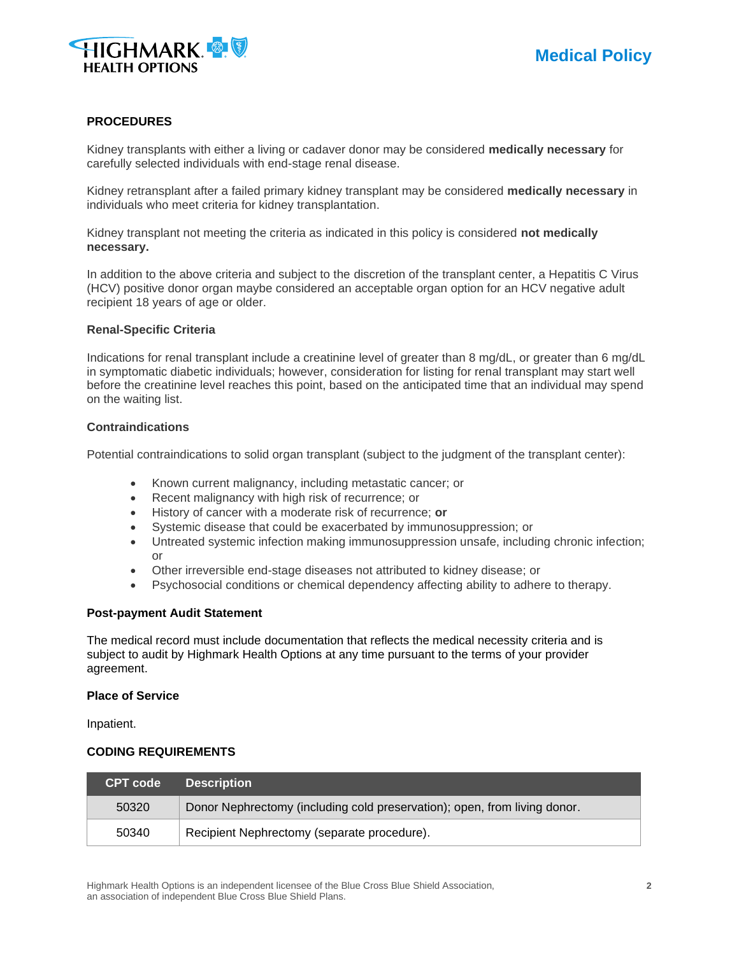

#### **PROCEDURES**

Kidney transplants with either a living or cadaver donor may be considered **medically necessary** for carefully selected individuals with end-stage renal disease.

Kidney retransplant after a failed primary kidney transplant may be considered **medically necessary** in individuals who meet criteria for kidney transplantation.

Kidney transplant not meeting the criteria as indicated in this policy is considered **not medically necessary.**

In addition to the above criteria and subject to the discretion of the transplant center, a Hepatitis C Virus (HCV) positive donor organ maybe considered an acceptable organ option for an HCV negative adult recipient 18 years of age or older.

#### **Renal-Specific Criteria**

Indications for renal transplant include a creatinine level of greater than 8 mg/dL, or greater than 6 mg/dL in symptomatic diabetic individuals; however, consideration for listing for renal transplant may start well before the creatinine level reaches this point, based on the anticipated time that an individual may spend on the waiting list.

#### **Contraindications**

Potential contraindications to solid organ transplant (subject to the judgment of the transplant center):

- Known current malignancy, including metastatic cancer; or
- Recent malignancy with high risk of recurrence; or
- History of cancer with a moderate risk of recurrence; **or**
- Systemic disease that could be exacerbated by immunosuppression; or
- Untreated systemic infection making immunosuppression unsafe, including chronic infection; or
- Other irreversible end-stage diseases not attributed to kidney disease; or
- Psychosocial conditions or chemical dependency affecting ability to adhere to therapy.

#### **Post-payment Audit Statement**

The medical record must include documentation that reflects the medical necessity criteria and is subject to audit by Highmark Health Options at any time pursuant to the terms of your provider agreement.

#### **Place of Service**

Inpatient.

#### **CODING REQUIREMENTS**

| <b>CPT code</b> | <b>Description</b>                                                        |
|-----------------|---------------------------------------------------------------------------|
| 50320           | Donor Nephrectomy (including cold preservation); open, from living donor. |
| 50340           | Recipient Nephrectomy (separate procedure).                               |

Highmark Health Options is an independent licensee of the Blue Cross Blue Shield Association, **2** an association of independent Blue Cross Blue Shield Plans.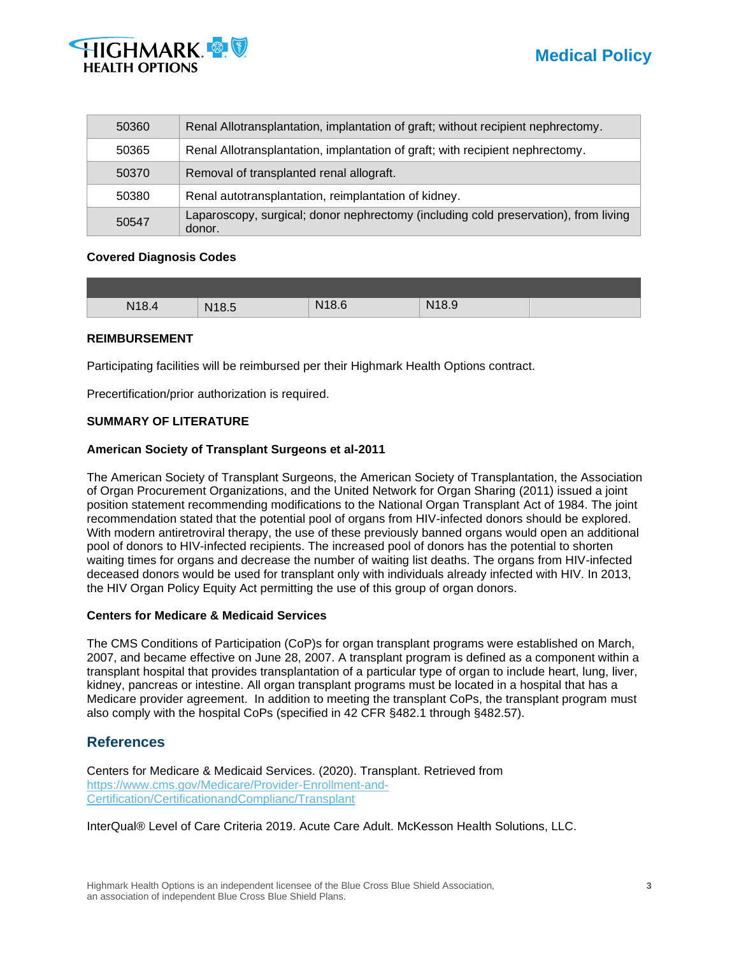



| 50360 | Renal Allotransplantation, implantation of graft; without recipient nephrectomy.              |
|-------|-----------------------------------------------------------------------------------------------|
| 50365 | Renal Allotransplantation, implantation of graft; with recipient nephrectomy.                 |
| 50370 | Removal of transplanted renal allograft.                                                      |
| 50380 | Renal autotransplantation, reimplantation of kidney.                                          |
| 50547 | Laparoscopy, surgical; donor nephrectomy (including cold preservation), from living<br>donor. |

#### **Covered Diagnosis Codes**

| N18.4 | N <sub>18.5</sub> | N186 | N18.9 |  |
|-------|-------------------|------|-------|--|

#### **REIMBURSEMENT**

Participating facilities will be reimbursed per their Highmark Health Options contract.

Precertification/prior authorization is required.

#### **SUMMARY OF LITERATURE**

#### **American Society of Transplant Surgeons et al-2011**

The American Society of Transplant Surgeons, the American Society of Transplantation, the Association of Organ Procurement Organizations, and the United Network for Organ Sharing (2011) issued a joint position statement recommending modifications to the National Organ Transplant Act of 1984. The joint recommendation stated that the potential pool of organs from HIV-infected donors should be explored. With modern antiretroviral therapy, the use of these previously banned organs would open an additional pool of donors to HIV-infected recipients. The increased pool of donors has the potential to shorten waiting times for organs and decrease the number of waiting list deaths. The organs from HIV-infected deceased donors would be used for transplant only with individuals already infected with HIV. In 2013, the HIV Organ Policy Equity Act permitting the use of this group of organ donors.

#### **Centers for Medicare & Medicaid Services**

The CMS Conditions of Participation (CoP)s for organ transplant programs were established on March, 2007, and became effective on June 28, 2007. A transplant program is defined as a component within a transplant hospital that provides transplantation of a particular type of organ to include heart, lung, liver, kidney, pancreas or intestine. All organ transplant programs must be located in a hospital that has a Medicare provider agreement. In addition to meeting the transplant CoPs, the transplant program must also comply with the hospital CoPs (specified in 42 CFR §482.1 through §482.57).

## **References**

Centers for Medicare & Medicaid Services. (2020). Transplant. Retrieved from [https://www.cms.gov/Medicare/Provider-Enrollment-and-](https://www.cms.gov/Medicare/Provider-Enrollment-and-Certification/CertificationandComplianc/Transplant)[Certification/CertificationandComplianc/Transplant](https://www.cms.gov/Medicare/Provider-Enrollment-and-Certification/CertificationandComplianc/Transplant)

InterQual® Level of Care Criteria 2019. Acute Care Adult. McKesson Health Solutions, LLC.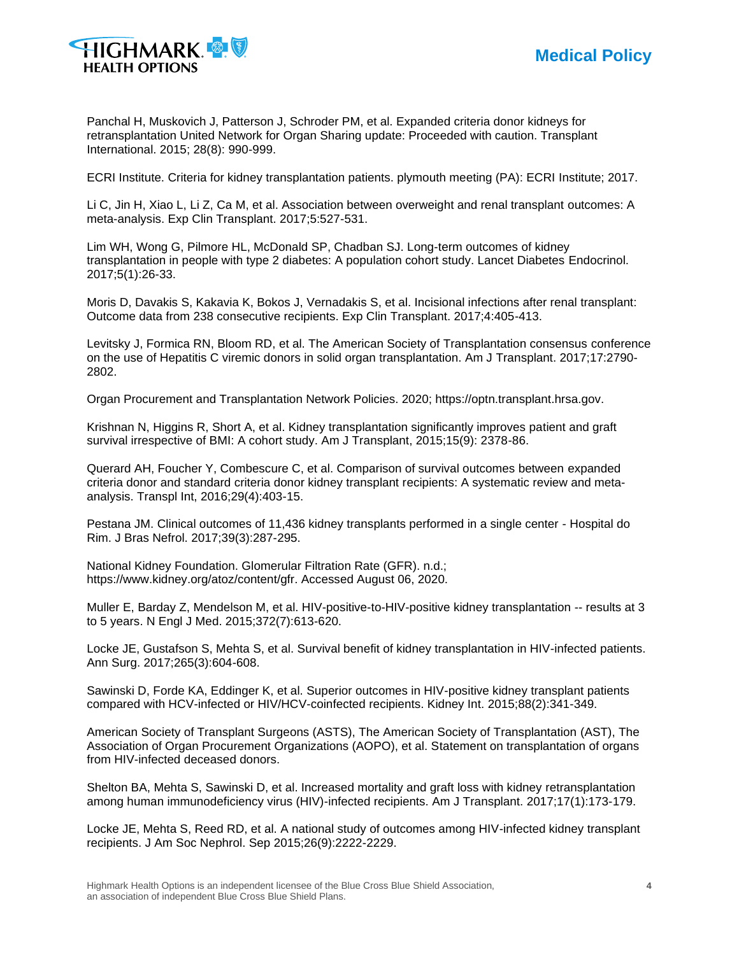

Panchal H, Muskovich J, Patterson J, Schroder PM, et al. Expanded criteria donor kidneys for retransplantation United Network for Organ Sharing update: Proceeded with caution. Transplant International. 2015; 28(8): 990-999.

ECRI Institute. Criteria for kidney transplantation patients. plymouth meeting (PA): ECRI Institute; 2017.

Li C, Jin H, Xiao L, Li Z, Ca M, et al. Association between overweight and renal transplant outcomes: A meta-analysis. Exp Clin Transplant. 2017;5:527-531.

Lim WH, Wong G, Pilmore HL, McDonald SP, Chadban SJ. Long-term outcomes of kidney transplantation in people with type 2 diabetes: A population cohort study. Lancet Diabetes Endocrinol. 2017;5(1):26-33.

Moris D, Davakis S, Kakavia K, Bokos J, Vernadakis S, et al. Incisional infections after renal transplant: Outcome data from 238 consecutive recipients. Exp Clin Transplant. 2017;4:405-413.

Levitsky J, Formica RN, Bloom RD, et al. The American Society of Transplantation consensus conference on the use of Hepatitis C viremic donors in solid organ transplantation. Am J Transplant. 2017;17:2790- 2802.

Organ Procurement and Transplantation Network Policies. 2020; https://optn.transplant.hrsa.gov.

Krishnan N, Higgins R, Short A, et al. Kidney transplantation significantly improves patient and graft survival irrespective of BMI: A cohort study. Am J Transplant, 2015;15(9): 2378-86.

Querard AH, Foucher Y, Combescure C, et al. Comparison of survival outcomes between expanded criteria donor and standard criteria donor kidney transplant recipients: A systematic review and metaanalysis. Transpl Int, 2016;29(4):403-15.

Pestana JM. Clinical outcomes of 11,436 kidney transplants performed in a single center - Hospital do Rim. J Bras Nefrol. 2017;39(3):287-295.

National Kidney Foundation. Glomerular Filtration Rate (GFR). n.d.; https://www.kidney.org/atoz/content/gfr. Accessed August 06, 2020.

Muller E, Barday Z, Mendelson M, et al. HIV-positive-to-HIV-positive kidney transplantation -- results at 3 to 5 years. N Engl J Med. 2015;372(7):613-620.

Locke JE, Gustafson S, Mehta S, et al. Survival benefit of kidney transplantation in HIV-infected patients. Ann Surg. 2017;265(3):604-608.

Sawinski D, Forde KA, Eddinger K, et al. Superior outcomes in HIV-positive kidney transplant patients compared with HCV-infected or HIV/HCV-coinfected recipients. Kidney Int. 2015;88(2):341-349.

American Society of Transplant Surgeons (ASTS), The American Society of Transplantation (AST), The Association of Organ Procurement Organizations (AOPO), et al. Statement on transplantation of organs from HIV-infected deceased donors.

Shelton BA, Mehta S, Sawinski D, et al. Increased mortality and graft loss with kidney retransplantation among human immunodeficiency virus (HIV)-infected recipients. Am J Transplant. 2017;17(1):173-179.

Locke JE, Mehta S, Reed RD, et al. A national study of outcomes among HIV-infected kidney transplant recipients. J Am Soc Nephrol. Sep 2015;26(9):2222-2229.